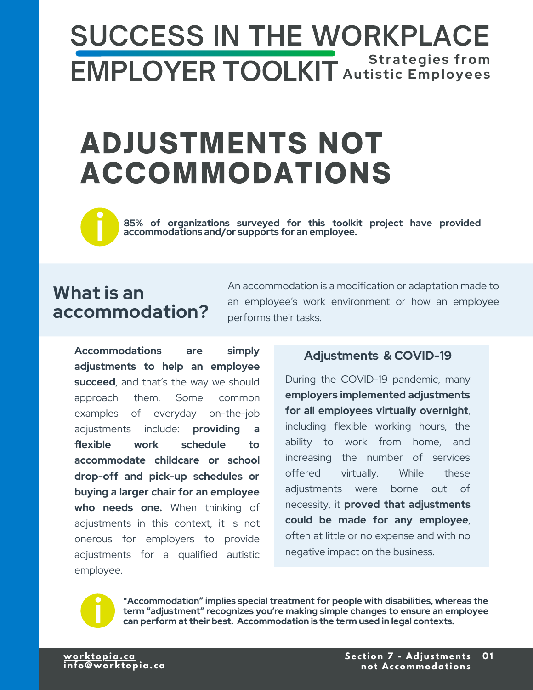# **SUCCESS IN THE WORKPLACE EMPLOYER TOOLKIT** Autistic Employees

# **ADJUSTMENTS NOT ACCOMMODATIONS**



**85% of organizations surveyed for this toolkit project have provided accommodations surveyed for this toolki**<br>**accommodations and/or supports for an employee.** 

# **What is an accommodation?**

An accommodation is a modification or adaptation made to an employee's work environment or how an employee performs their tasks.

**Accommodations are simply adjustments to help an employee**  succeed, and that's the way we should approach them. Some common examples of everyday on-the-job adjustments include: **providing a flexible work schedule to accommodate childcare or school drop-off and pick-up schedules or buying a larger chair for an employee who needs one.** When thinking of adjustments in this context, it is not onerous for employers to provide adjustments for a qualified autistic employee.

#### **Adjustments & COVID-19**

During the COVID-19 pandemic, many **employers implemented adjustments for all employees virtually overnight**, including flexible working hours, the ability to work from home, and increasing the number of services offered virtually. While these adjustments were borne out of necessity, it **proved that adjustments could be made for any employee**, often at little or no expense and with no negative impact on the business.



**"Accommodation" implies special treatment for people with disabilities, whereas the term "adjustment" recognizes you're making simple changes to ensure an employee i can perform at their best. Accommodation is the term used in legal contexts.**

<u>worktopia.ca</u><br>info@worktopia.ca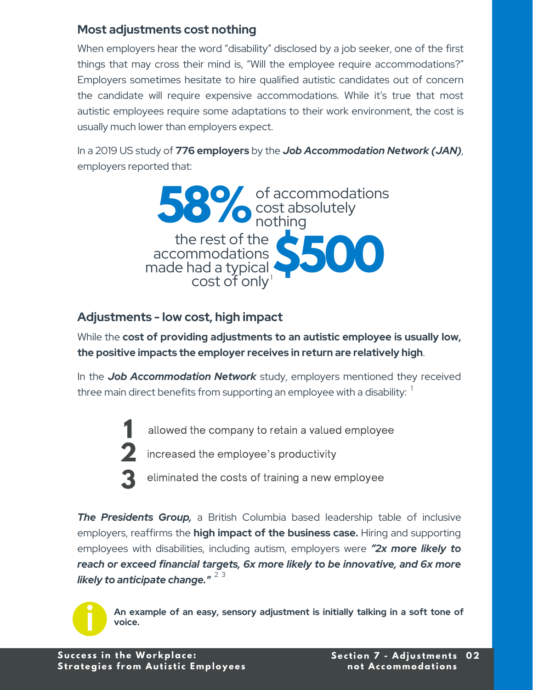### <span id="page-1-0"></span>**Most adjustments cost nothing**

When employers hear the word "disability" disclosed by a job seeker, one of the first things that may cross their mind is, "Will the employee require accommodations?" Employers sometimes hesitate to hire qualified autistic candidates out of concern the candidate will require expensive accommodations. While it's true that most autistic employees require some adaptations to their work environment, the cost is usually much lower than employers expect.

In a 2019 US study of **776 employers** by the *Job Accommodation Network (JAN)*, employers reported that:



## **Adjustments - low cost, high impact**

While the **cost of providing adjustments to an autistic employee is usually low, the positive impacts the employer receives in return are relatively high**.

In the *Job Accommodation Network* study, employers mentioned they received three main direct benefits from supporting an employee with a disability:  $^{\mathrm{1}}$  $^{\mathrm{1}}$  $^{\mathrm{1}}$ 

allowed the company to retain a valued employee

2 increased the employee's productivity

**3** eliminated the costs of training a new employee

*The Presidents Group,* a British Columbia based leadership table of inclusive employers, reaffirms the **high impact of the business case.** Hiring and supporting employees with disabilities, including autism, employers were *"2x more likely to reach or exceed financial targets, 6x more likely to be innovative, and 6x more likely to anticipate change."*  [2](#page-3-0) [3](#page-3-0)



**An example of an easy, sensory adjustment is initially talking in a soft tone of voice.**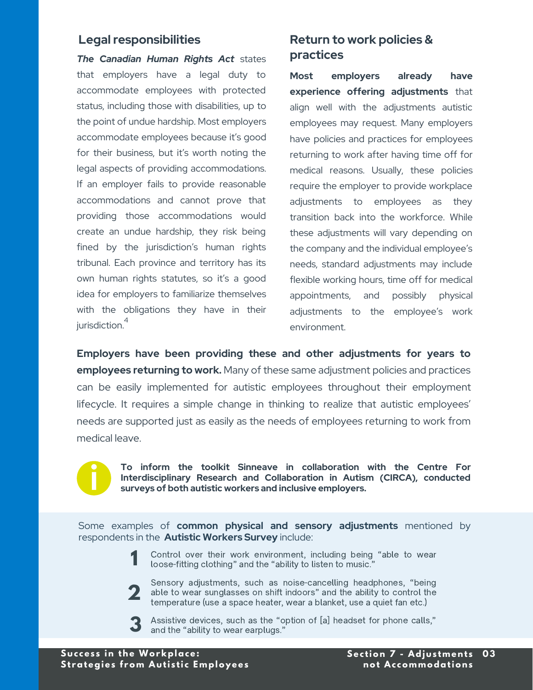#### <span id="page-2-0"></span>**Legal responsibilities**

*The Canadian Human Rights Act* states that employers have a legal duty to accommodate employees with protected status, including those with disabilities, up to the point of undue hardship. Most employers accommodate employees because it's good for their business, but it's worth noting the legal aspects of providing accommodations. If an employer fails to provide reasonable accommodations and cannot prove that providing those accommodations would create an undue hardship, they risk being fined by the jurisdiction's human rights tribunal. Each province and territory has its own human rights statutes, so it's a good idea for employers to familiarize themselves with the obligations they have in their jurisdiction.<sup>[4](#page-3-0)</sup>

### **Return to work policies & practices**

**Most employers already have experience offering adjustments** that align well with the adjustments autistic employees may request. Many employers have policies and practices for employees returning to work after having time off for medical reasons. Usually, these policies require the employer to provide workplace adjustments to employees as they transition back into the workforce. While these adjustments will vary depending on the company and the individual employee's needs, standard adjustments may include flexible working hours, time off for medical appointments, and possibly physical adjustments to the employee's work environment.

**Employers have been providing these and other adjustments for years to employees returning to work.** Many of these same adjustment policies and practices can be easily implemented for autistic employees throughout their employment lifecycle. It requires a simple change in thinking to realize that autistic employees' needs are supported just as easily as the needs of employees returning to work from medical leave.



**To inform the toolkit Sinneave in collaboration with the Centre For Interdisciplinary Research and Collaboration in Autism (CIRCA), conducted i surveys of both autistic workers and inclusive employers.** 

Some examples of **common physical and sensory adjustments** mentioned by respondents in the **Autistic Workers Survey** include:

- Control over their work environment, including being "able to wear **1** Control over their work environment, including being<br>loose-fitting clothing" and the "ability to listen to music."
- able to wear sunglasses on shift indoors" and the ability to control the temperature (use a space heater, wear a blanket, use a quiet fan etc.) Sensory adjustments, such as noise-cancelling headphones, "being temperature (use a space heater, wear a blanket, use a quiet fan etc.)
- **3** Assistive devices, such as the "optimal and the "ability to wear earplugs." Assistive devices, such as the "option of [a] headset for phone calls,"